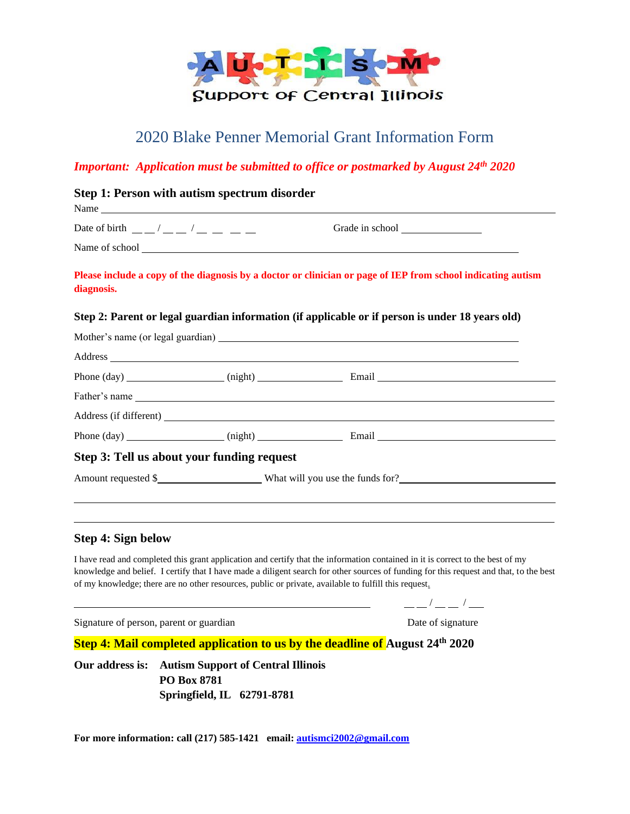

# 2020 Blake Penner Memorial Grant Information Form

## *Important: Application must be submitted to office or postmarked by August 24th 2020*

| Step 1: Person with autism spectrum disorder                                                                                                                                                                                                                                                                       |                                                                                                              |
|--------------------------------------------------------------------------------------------------------------------------------------------------------------------------------------------------------------------------------------------------------------------------------------------------------------------|--------------------------------------------------------------------------------------------------------------|
| Date of birth $\frac{1}{2}$ $\frac{1}{2}$ $\frac{1}{2}$ $\frac{1}{2}$ $\frac{1}{2}$ $\frac{1}{2}$ $\frac{1}{2}$ $\frac{1}{2}$ $\frac{1}{2}$ $\frac{1}{2}$ $\frac{1}{2}$ $\frac{1}{2}$ $\frac{1}{2}$ $\frac{1}{2}$ $\frac{1}{2}$ $\frac{1}{2}$ $\frac{1}{2}$ $\frac{1}{2}$ $\frac{1}{2}$ $\frac{1}{2}$ $\frac{1}{2$ |                                                                                                              |
|                                                                                                                                                                                                                                                                                                                    |                                                                                                              |
| diagnosis.                                                                                                                                                                                                                                                                                                         | Please include a copy of the diagnosis by a doctor or clinician or page of IEP from school indicating autism |
|                                                                                                                                                                                                                                                                                                                    | Step 2: Parent or legal guardian information (if applicable or if person is under 18 years old)              |
|                                                                                                                                                                                                                                                                                                                    |                                                                                                              |
|                                                                                                                                                                                                                                                                                                                    |                                                                                                              |
|                                                                                                                                                                                                                                                                                                                    |                                                                                                              |
|                                                                                                                                                                                                                                                                                                                    |                                                                                                              |
|                                                                                                                                                                                                                                                                                                                    |                                                                                                              |
|                                                                                                                                                                                                                                                                                                                    |                                                                                                              |
| Step 3: Tell us about your funding request                                                                                                                                                                                                                                                                         |                                                                                                              |
|                                                                                                                                                                                                                                                                                                                    | Amount requested \$                                                                                          |
|                                                                                                                                                                                                                                                                                                                    |                                                                                                              |
|                                                                                                                                                                                                                                                                                                                    |                                                                                                              |
| Step 4: Sign below                                                                                                                                                                                                                                                                                                 |                                                                                                              |

I have read and completed this grant application and certify that the information contained in it is correct to the best of my knowledge and belief. I certify that I have made a diligent search for other sources of funding for this request and that, to the best of my knowledge; there are no other resources, public or private, available to fulfill this request.

 $\frac{\frac{1}{2}}{1-\frac{1}{2}}$  /  $\frac{\frac{1}{2}}{1-\frac{1}{2}}$ 

Signature of person, parent or guardian Date of signature Date of signature

**Step 4: Mail completed application to us by the deadline of August 24th 2020**

**Our address is: Autism Support of Central Illinois PO Box 8781 Springfield, IL 62791-8781**

**For more information: call (217) 585-1421 email: [autismci2002@gmail.com](mailto:autismci2002@gmail.com)**